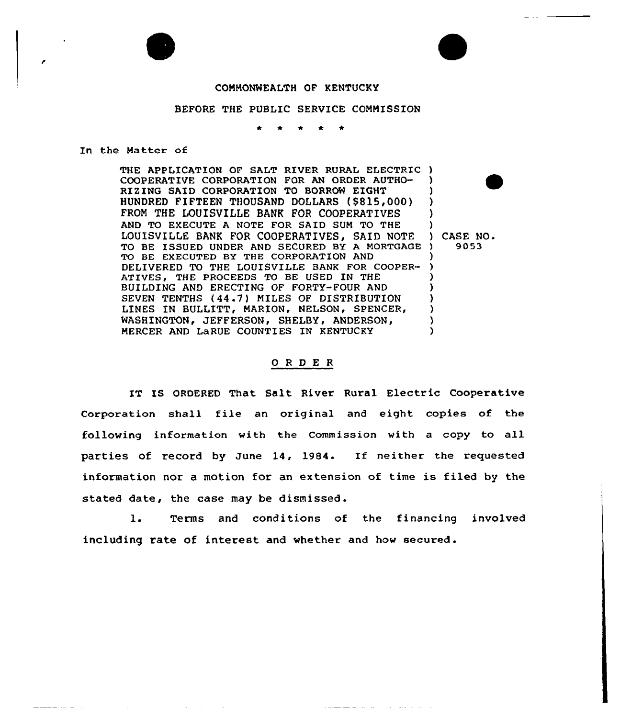## COMMONWEALTH OF KENTUCKY

## BEFORE THE PUBLIC SERVICE COMMISSION

In the Matter of

THE APPLICATION OF SALT RIVER RURAL ELECTRIC ) COOPERATIVE CORPORATION FOR AN ORDER AUTHO-RIZING SAID CORPORATION TO BORROW EIGHT HUNDRED FIFTEEN THOUSAND DOLLARS (\$S15,000) FROM THE LOUISVILLE BANK FOR COOPERATIVES AND TO EXECUTE A NOTE FOR SAID SUM TO THE LOUISVILLE BANK FOR COOPERATIVES, SAID NOTE TO BE ISSUED UNDER AND SECURED BY A MORTGAGE TO BE EXECUTED BY THE CORPORATION AND DELIVERED TO THE LOUISVILLE BANK FOR COOPER-ATIVES, THE PROCEEDS TO BE USED IN THE BUILDING AND ERECTING OF FORTY-FOUR AND SEVEN TENTHS (44.7) MILES OF DISTRIBUTION LINES IN BULLITT, MARION, NELSON, SPENCER, WASHINGTON, JEFFERSON, SHELBY, ANDERSON, AND LaRUE COUNTIES IN K<mark>ENT</mark>UCKY ) ) ) ) ) ) ) ) ) ) ) ) )

) CASE NO. ) 9053

## ORDER

IT IS ORDERED That Salt River Rural Electric Cooperative Corporation shall file an original and eight copies of the following information with the Commission with a copy to all parties of record by June 14, 1984. If neither the requested information nor a motion for an extension of time is filed by the stated date, the case may be dismissed.

1. Terms and conditions of the financing involved including rate of interest and whether and how secured.

والمناوب والمحتوي والمرواة والمتناول والمستقل فللمتحدث